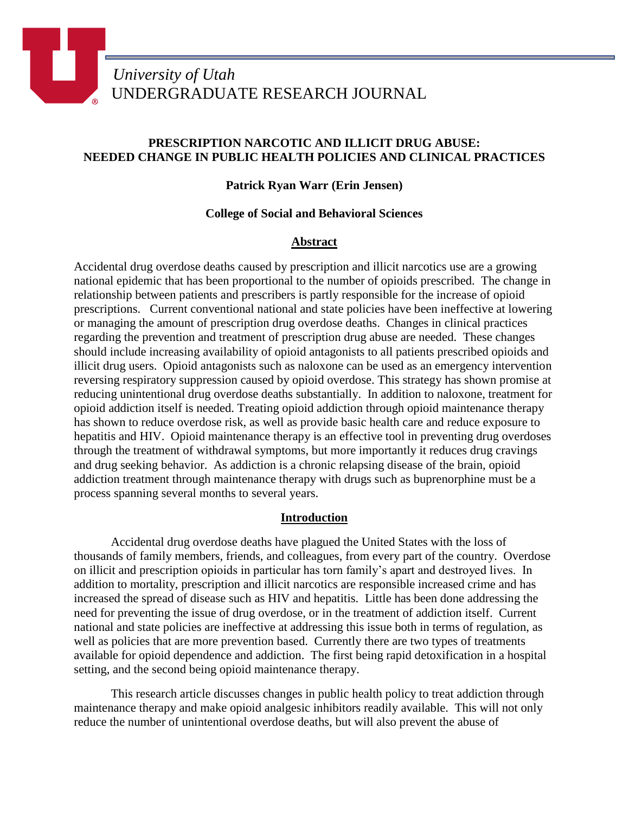# **PRESCRIPTION NARCOTIC AND ILLICIT DRUG ABUSE: NEEDED CHANGE IN PUBLIC HEALTH POLICIES AND CLINICAL PRACTICES**

# **Patrick Ryan Warr (Erin Jensen)**

## **College of Social and Behavioral Sciences**

## **Abstract**

Accidental drug overdose deaths caused by prescription and illicit narcotics use are a growing national epidemic that has been proportional to the number of opioids prescribed. The change in relationship between patients and prescribers is partly responsible for the increase of opioid prescriptions. Current conventional national and state policies have been ineffective at lowering or managing the amount of prescription drug overdose deaths. Changes in clinical practices regarding the prevention and treatment of prescription drug abuse are needed. These changes should include increasing availability of opioid antagonists to all patients prescribed opioids and illicit drug users. Opioid antagonists such as naloxone can be used as an emergency intervention reversing respiratory suppression caused by opioid overdose. This strategy has shown promise at reducing unintentional drug overdose deaths substantially. In addition to naloxone, treatment for opioid addiction itself is needed. Treating opioid addiction through opioid maintenance therapy has shown to reduce overdose risk, as well as provide basic health care and reduce exposure to hepatitis and HIV. Opioid maintenance therapy is an effective tool in preventing drug overdoses through the treatment of withdrawal symptoms, but more importantly it reduces drug cravings and drug seeking behavior. As addiction is a chronic relapsing disease of the brain, opioid addiction treatment through maintenance therapy with drugs such as buprenorphine must be a process spanning several months to several years.

### **Introduction**

Accidental drug overdose deaths have plagued the United States with the loss of thousands of family members, friends, and colleagues, from every part of the country. Overdose on illicit and prescription opioids in particular has torn family's apart and destroyed lives. In addition to mortality, prescription and illicit narcotics are responsible increased crime and has increased the spread of disease such as HIV and hepatitis. Little has been done addressing the need for preventing the issue of drug overdose, or in the treatment of addiction itself. Current national and state policies are ineffective at addressing this issue both in terms of regulation, as well as policies that are more prevention based. Currently there are two types of treatments available for opioid dependence and addiction. The first being rapid detoxification in a hospital setting, and the second being opioid maintenance therapy.

This research article discusses changes in public health policy to treat addiction through maintenance therapy and make opioid analgesic inhibitors readily available. This will not only reduce the number of unintentional overdose deaths, but will also prevent the abuse of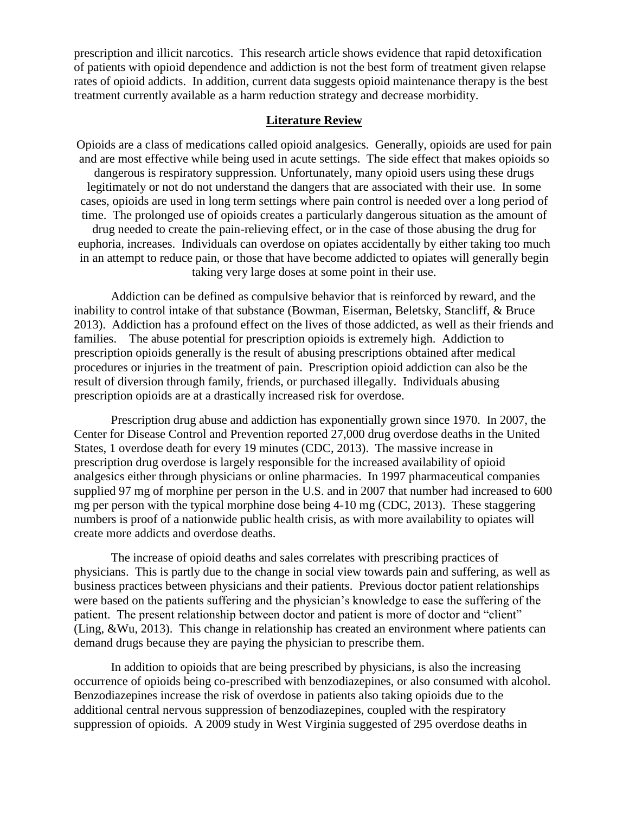prescription and illicit narcotics. This research article shows evidence that rapid detoxification of patients with opioid dependence and addiction is not the best form of treatment given relapse rates of opioid addicts. In addition, current data suggests opioid maintenance therapy is the best treatment currently available as a harm reduction strategy and decrease morbidity.

### **Literature Review**

Opioids are a class of medications called opioid analgesics. Generally, opioids are used for pain and are most effective while being used in acute settings. The side effect that makes opioids so dangerous is respiratory suppression. Unfortunately, many opioid users using these drugs legitimately or not do not understand the dangers that are associated with their use. In some cases, opioids are used in long term settings where pain control is needed over a long period of time. The prolonged use of opioids creates a particularly dangerous situation as the amount of drug needed to create the pain-relieving effect, or in the case of those abusing the drug for euphoria, increases. Individuals can overdose on opiates accidentally by either taking too much in an attempt to reduce pain, or those that have become addicted to opiates will generally begin taking very large doses at some point in their use.

Addiction can be defined as compulsive behavior that is reinforced by reward, and the inability to control intake of that substance (Bowman, Eiserman, Beletsky, Stancliff, & Bruce 2013). Addiction has a profound effect on the lives of those addicted, as well as their friends and families. The abuse potential for prescription opioids is extremely high. Addiction to prescription opioids generally is the result of abusing prescriptions obtained after medical procedures or injuries in the treatment of pain. Prescription opioid addiction can also be the result of diversion through family, friends, or purchased illegally. Individuals abusing prescription opioids are at a drastically increased risk for overdose.

Prescription drug abuse and addiction has exponentially grown since 1970. In 2007, the Center for Disease Control and Prevention reported 27,000 drug overdose deaths in the United States, 1 overdose death for every 19 minutes (CDC, 2013). The massive increase in prescription drug overdose is largely responsible for the increased availability of opioid analgesics either through physicians or online pharmacies. In 1997 pharmaceutical companies supplied 97 mg of morphine per person in the U.S. and in 2007 that number had increased to 600 mg per person with the typical morphine dose being 4-10 mg (CDC, 2013). These staggering numbers is proof of a nationwide public health crisis, as with more availability to opiates will create more addicts and overdose deaths.

The increase of opioid deaths and sales correlates with prescribing practices of physicians. This is partly due to the change in social view towards pain and suffering, as well as business practices between physicians and their patients. Previous doctor patient relationships were based on the patients suffering and the physician's knowledge to ease the suffering of the patient. The present relationship between doctor and patient is more of doctor and "client" (Ling, &Wu, 2013). This change in relationship has created an environment where patients can demand drugs because they are paying the physician to prescribe them.

In addition to opioids that are being prescribed by physicians, is also the increasing occurrence of opioids being co-prescribed with benzodiazepines, or also consumed with alcohol. Benzodiazepines increase the risk of overdose in patients also taking opioids due to the additional central nervous suppression of benzodiazepines, coupled with the respiratory suppression of opioids. A 2009 study in West Virginia suggested of 295 overdose deaths in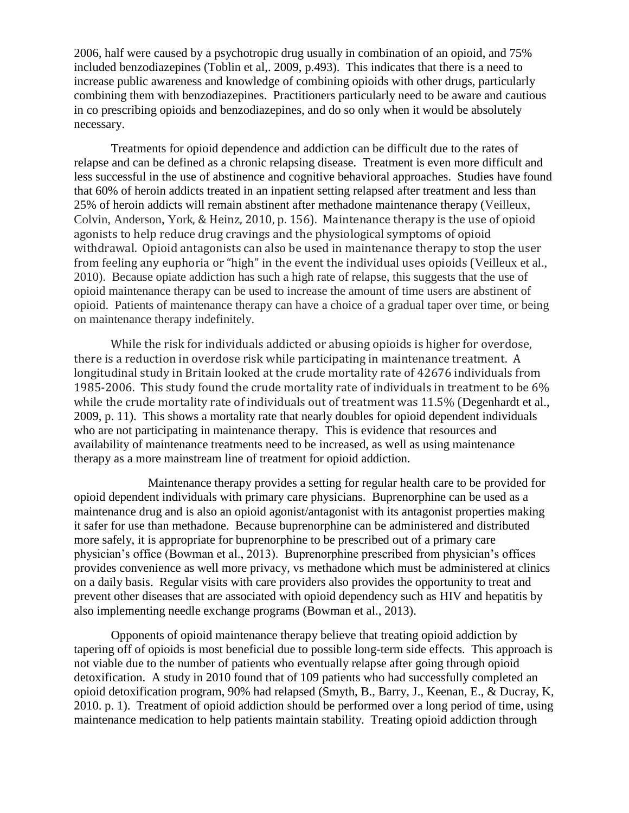2006, half were caused by a psychotropic drug usually in combination of an opioid, and 75% included benzodiazepines (Toblin et al,. 2009, p.493). This indicates that there is a need to increase public awareness and knowledge of combining opioids with other drugs, particularly combining them with benzodiazepines. Practitioners particularly need to be aware and cautious in co prescribing opioids and benzodiazepines, and do so only when it would be absolutely necessary.

Treatments for opioid dependence and addiction can be difficult due to the rates of relapse and can be defined as a chronic relapsing disease. Treatment is even more difficult and less successful in the use of abstinence and cognitive behavioral approaches. Studies have found that 60% of heroin addicts treated in an inpatient setting relapsed after treatment and less than 25% of heroin addicts will remain abstinent after methadone maintenance therapy (Veilleux, Colvin, Anderson, York, & Heinz, 2010, p. 156). Maintenance therapy is the use of opioid agonists to help reduce drug cravings and the physiological symptoms of opioid withdrawal. Opioid antagonists can also be used in maintenance therapy to stop the user from feeling any euphoria or "high" in the event the individual uses opioids (Veilleux et al., 2010). Because opiate addiction has such a high rate of relapse, this suggests that the use of opioid maintenance therapy can be used to increase the amount of time users are abstinent of opioid. Patients of maintenance therapy can have a choice of a gradual taper over time, or being on maintenance therapy indefinitely.

While the risk for individuals addicted or abusing opioids is higher for overdose, there is a reduction in overdose risk while participating in maintenance treatment. A longitudinal study in Britain looked at the crude mortality rate of 42676 individuals from 1985-2006. This study found the crude mortality rate of individuals in treatment to be 6% while the crude mortality rate of individuals out of treatment was 11.5% (Degenhardt et al., 2009, p. 11). This shows a mortality rate that nearly doubles for opioid dependent individuals who are not participating in maintenance therapy. This is evidence that resources and availability of maintenance treatments need to be increased, as well as using maintenance therapy as a more mainstream line of treatment for opioid addiction.

Maintenance therapy provides a setting for regular health care to be provided for opioid dependent individuals with primary care physicians. Buprenorphine can be used as a maintenance drug and is also an opioid agonist/antagonist with its antagonist properties making it safer for use than methadone. Because buprenorphine can be administered and distributed more safely, it is appropriate for buprenorphine to be prescribed out of a primary care physician's office (Bowman et al., 2013). Buprenorphine prescribed from physician's offices provides convenience as well more privacy, vs methadone which must be administered at clinics on a daily basis. Regular visits with care providers also provides the opportunity to treat and prevent other diseases that are associated with opioid dependency such as HIV and hepatitis by also implementing needle exchange programs (Bowman et al., 2013).

Opponents of opioid maintenance therapy believe that treating opioid addiction by tapering off of opioids is most beneficial due to possible long-term side effects. This approach is not viable due to the number of patients who eventually relapse after going through opioid detoxification. A study in 2010 found that of 109 patients who had successfully completed an opioid detoxification program, 90% had relapsed (Smyth, B., Barry, J., Keenan, E., & Ducray, K, 2010. p. 1). Treatment of opioid addiction should be performed over a long period of time, using maintenance medication to help patients maintain stability. Treating opioid addiction through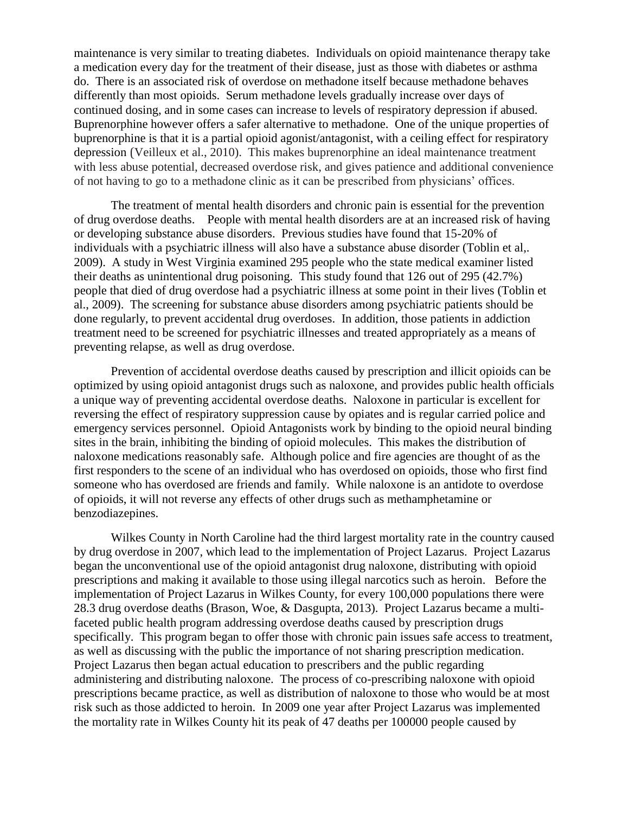maintenance is very similar to treating diabetes. Individuals on opioid maintenance therapy take a medication every day for the treatment of their disease, just as those with diabetes or asthma do. There is an associated risk of overdose on methadone itself because methadone behaves differently than most opioids. Serum methadone levels gradually increase over days of continued dosing, and in some cases can increase to levels of respiratory depression if abused. Buprenorphine however offers a safer alternative to methadone. One of the unique properties of buprenorphine is that it is a partial opioid agonist/antagonist, with a ceiling effect for respiratory depression (Veilleux et al., 2010). This makes buprenorphine an ideal maintenance treatment with less abuse potential, decreased overdose risk, and gives patience and additional convenience of not having to go to a methadone clinic as it can be prescribed from physicians' offices.

The treatment of mental health disorders and chronic pain is essential for the prevention of drug overdose deaths. People with mental health disorders are at an increased risk of having or developing substance abuse disorders. Previous studies have found that 15-20% of individuals with a psychiatric illness will also have a substance abuse disorder (Toblin et al,. 2009). A study in West Virginia examined 295 people who the state medical examiner listed their deaths as unintentional drug poisoning. This study found that 126 out of 295 (42.7%) people that died of drug overdose had a psychiatric illness at some point in their lives (Toblin et al., 2009). The screening for substance abuse disorders among psychiatric patients should be done regularly, to prevent accidental drug overdoses. In addition, those patients in addiction treatment need to be screened for psychiatric illnesses and treated appropriately as a means of preventing relapse, as well as drug overdose.

Prevention of accidental overdose deaths caused by prescription and illicit opioids can be optimized by using opioid antagonist drugs such as naloxone, and provides public health officials a unique way of preventing accidental overdose deaths. Naloxone in particular is excellent for reversing the effect of respiratory suppression cause by opiates and is regular carried police and emergency services personnel. Opioid Antagonists work by binding to the opioid neural binding sites in the brain, inhibiting the binding of opioid molecules. This makes the distribution of naloxone medications reasonably safe. Although police and fire agencies are thought of as the first responders to the scene of an individual who has overdosed on opioids, those who first find someone who has overdosed are friends and family. While naloxone is an antidote to overdose of opioids, it will not reverse any effects of other drugs such as methamphetamine or benzodiazepines.

Wilkes County in North Caroline had the third largest mortality rate in the country caused by drug overdose in 2007, which lead to the implementation of Project Lazarus. Project Lazarus began the unconventional use of the opioid antagonist drug naloxone, distributing with opioid prescriptions and making it available to those using illegal narcotics such as heroin. Before the implementation of Project Lazarus in Wilkes County, for every 100,000 populations there were 28.3 drug overdose deaths (Brason, Woe, & Dasgupta, 2013). Project Lazarus became a multifaceted public health program addressing overdose deaths caused by prescription drugs specifically. This program began to offer those with chronic pain issues safe access to treatment, as well as discussing with the public the importance of not sharing prescription medication. Project Lazarus then began actual education to prescribers and the public regarding administering and distributing naloxone. The process of co-prescribing naloxone with opioid prescriptions became practice, as well as distribution of naloxone to those who would be at most risk such as those addicted to heroin. In 2009 one year after Project Lazarus was implemented the mortality rate in Wilkes County hit its peak of 47 deaths per 100000 people caused by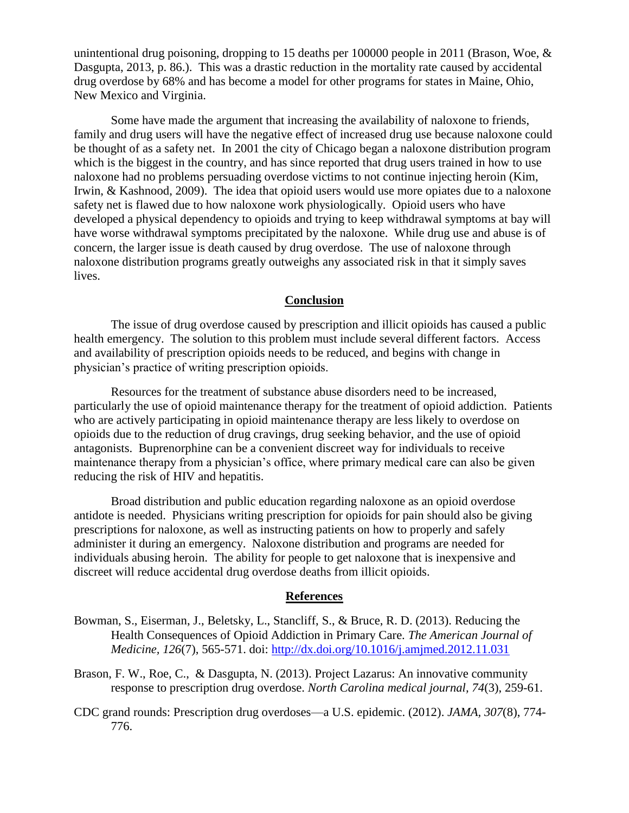unintentional drug poisoning, dropping to 15 deaths per 100000 people in 2011 (Brason, Woe,  $\&$ Dasgupta, 2013, p. 86.). This was a drastic reduction in the mortality rate caused by accidental drug overdose by 68% and has become a model for other programs for states in Maine, Ohio, New Mexico and Virginia.

Some have made the argument that increasing the availability of naloxone to friends, family and drug users will have the negative effect of increased drug use because naloxone could be thought of as a safety net. In 2001 the city of Chicago began a naloxone distribution program which is the biggest in the country, and has since reported that drug users trained in how to use naloxone had no problems persuading overdose victims to not continue injecting heroin (Kim, Irwin, & Kashnood, 2009). The idea that opioid users would use more opiates due to a naloxone safety net is flawed due to how naloxone work physiologically. Opioid users who have developed a physical dependency to opioids and trying to keep withdrawal symptoms at bay will have worse withdrawal symptoms precipitated by the naloxone. While drug use and abuse is of concern, the larger issue is death caused by drug overdose. The use of naloxone through naloxone distribution programs greatly outweighs any associated risk in that it simply saves lives.

#### **Conclusion**

The issue of drug overdose caused by prescription and illicit opioids has caused a public health emergency. The solution to this problem must include several different factors. Access and availability of prescription opioids needs to be reduced, and begins with change in physician's practice of writing prescription opioids.

Resources for the treatment of substance abuse disorders need to be increased, particularly the use of opioid maintenance therapy for the treatment of opioid addiction. Patients who are actively participating in opioid maintenance therapy are less likely to overdose on opioids due to the reduction of drug cravings, drug seeking behavior, and the use of opioid antagonists. Buprenorphine can be a convenient discreet way for individuals to receive maintenance therapy from a physician's office, where primary medical care can also be given reducing the risk of HIV and hepatitis.

Broad distribution and public education regarding naloxone as an opioid overdose antidote is needed. Physicians writing prescription for opioids for pain should also be giving prescriptions for naloxone, as well as instructing patients on how to properly and safely administer it during an emergency. Naloxone distribution and programs are needed for individuals abusing heroin. The ability for people to get naloxone that is inexpensive and discreet will reduce accidental drug overdose deaths from illicit opioids.

#### **References**

- Bowman, S., Eiserman, J., Beletsky, L., Stancliff, S., & Bruce, R. D. (2013). Reducing the Health Consequences of Opioid Addiction in Primary Care. *The American Journal of Medicine, 126*(7), 565-571. doi:<http://dx.doi.org/10.1016/j.amjmed.2012.11.031>
- Brason, F. W., Roe, C., & Dasgupta, N. (2013). Project Lazarus: An innovative community response to prescription drug overdose. *North Carolina medical journal, 74*(3), 259-61.
- CDC grand rounds: Prescription drug overdoses—a U.S. epidemic. (2012). *JAMA, 307*(8), 774- 776.